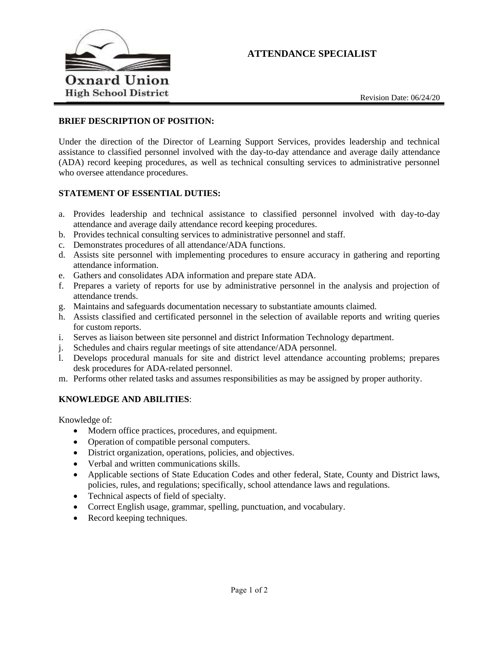# **ATTENDANCE SPECIALIST**



Revision Date: 06/24/20

### **BRIEF DESCRIPTION OF POSITION:**

 Under the direction of the Director of Learning Support Services, provides leadership and technical (ADA) record keeping procedures, as well as technical consulting services to administrative personnel assistance to classified personnel involved with the day-to-day attendance and average daily attendance who oversee attendance procedures.

#### **STATEMENT OF ESSENTIAL DUTIES:**

- a. Provides leadership and technical assistance to classified personnel involved with day-to-day attendance and average daily attendance record keeping procedures.
- b. Provides technical consulting services to administrative personnel and staff.
- c. Demonstrates procedures of all attendance/ADA functions.
- d. Assists site personnel with implementing procedures to ensure accuracy in gathering and reporting attendance information.
- e. Gathers and consolidates ADA information and prepare state ADA.
- f. Prepares a variety of reports for use by administrative personnel in the analysis and projection of attendance trends.
- g. Maintains and safeguards documentation necessary to substantiate amounts claimed.
- h. Assists classified and certificated personnel in the selection of available reports and writing queries for custom reports.
- i. Serves as liaison between site personnel and district Information Technology department.
- j. Schedules and chairs regular meetings of site attendance/ADA personnel.
- l. Develops procedural manuals for site and district level attendance accounting problems; prepares desk procedures for ADA-related personnel.
- m. Performs other related tasks and assumes responsibilities as may be assigned by proper authority.

## **KNOWLEDGE AND ABILITIES**:

Knowledge of:

- Modern office practices, procedures, and equipment.
- Operation of compatible personal computers.
- District organization, operations, policies, and objectives.
- Verbal and written communications skills.
- • Applicable sections of State Education Codes and other federal, State, County and District laws, policies, rules, and regulations; specifically, school attendance laws and regulations.
- Technical aspects of field of specialty.
- Correct English usage, grammar, spelling, punctuation, and vocabulary.
- Record keeping techniques.